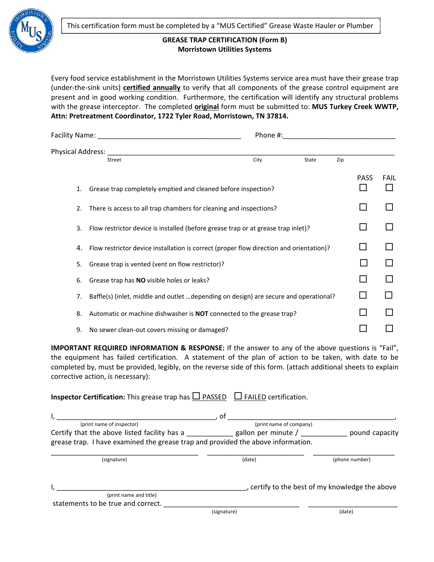

## **GREASE TRAP CERTIFICATION (Form B) Morristown Utilities Systems**

Every food service establishment in the Morristown Utilities Systems service area must have their grease trap (under‐the‐sink units) **certified annually** to verify that all components of the grease control equipment are present and in good working condition. Furthermore, the certification will identify any structural problems with the grease interceptor. The completed **original** form must be submitted to: **MUS Turkey Creek WWTP, Attn: Pretreatment Coordinator, 1722 Tyler Road, Morristown, TN 37814.**

| Facility Name: Name: Name and Allen and Allen and Allen and Allen and Allen and Allen and Allen and Allen and |                                                                                         | Phone #: |       |     |             |      |  |
|---------------------------------------------------------------------------------------------------------------|-----------------------------------------------------------------------------------------|----------|-------|-----|-------------|------|--|
|                                                                                                               | Physical Address:                                                                       |          |       |     |             |      |  |
|                                                                                                               | Street                                                                                  | City     | State | Zip |             |      |  |
| 1.                                                                                                            | Grease trap completely emptied and cleaned before inspection?                           |          |       |     | <b>PASS</b> | FAIL |  |
| 2.                                                                                                            | There is access to all trap chambers for cleaning and inspections?                      |          |       |     |             |      |  |
| 3.                                                                                                            | Flow restrictor device is installed (before grease trap or at grease trap inlet)?       |          |       |     |             |      |  |
| 4.                                                                                                            | Flow restrictor device installation is correct (proper flow direction and orientation)? |          |       |     |             |      |  |
| 5.                                                                                                            | Grease trap is vented (vent on flow restrictor)?                                        |          |       |     |             |      |  |
| 6.                                                                                                            | Grease trap has NO visible holes or leaks?                                              |          |       |     |             |      |  |
| 7.                                                                                                            | Baffle(s) (inlet, middle and outlet depending on design) are secure and operational?    |          |       |     | ΙI          |      |  |
| 8.                                                                                                            | Automatic or machine dishwasher is <b>NOT</b> connected to the grease trap?             |          |       |     |             |      |  |
| 9.                                                                                                            | No sewer clean-out covers missing or damaged?                                           |          |       |     |             |      |  |

**IMPORTANT REQUIRED INFORMATION & RESPONSE:** If the answer to any of the above questions is "Fail", the equipment has failed certification. A statement of the plan of action to be taken, with date to be completed by, must be provided, legibly, on the reverse side of this form. (attach additional sheets to explain corrective action, is necessary):

| <b>Inspector Certification:</b> This grease trap has $\Box$ PASSED $\Box$ FAILED certification. |                         |                                                 |
|-------------------------------------------------------------------------------------------------|-------------------------|-------------------------------------------------|
| I,                                                                                              | , of                    |                                                 |
| (print name of inspector)                                                                       | (print name of company) |                                                 |
| Certify that the above listed facility has a gallon per minute /                                |                         | pound capacity                                  |
| grease trap. I have examined the grease trap and provided the above information.                |                         |                                                 |
| (signature)                                                                                     | (date)                  | (phone number)                                  |
|                                                                                                 |                         | , certify to the best of my knowledge the above |
| (print name and title)                                                                          |                         |                                                 |
| statements to be true and correct.                                                              |                         |                                                 |
|                                                                                                 | (signature)             | (date)                                          |